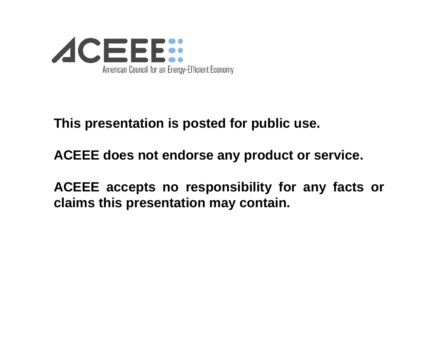

**This presentation is posted for public use.** 

**ACEEE does not endorse any product or service.** 

**ACEEE accepts no responsibility for any facts or claims this presentation may contain.**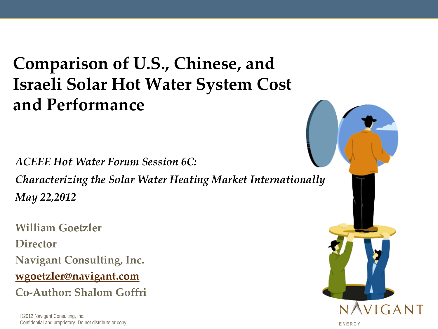# **Comparison of U.S., Chinese, and Israeli Solar Hot Water System Cost and Performance**

*ACEEE Hot Water Forum Session 6C:*

*Characterizing the Solar Water Heating Market Internationally May 22,2012*

**William Goetzler Director Navigant Consulting, Inc. [wgoetzler@navigant.com](mailto:wgoetzler@navigant.com) Co-Author: Shalom Goffri**

©2012 Navigant Consulting, Inc. Confidential and proprietary. Do not distribute or copy. **ENERGY**

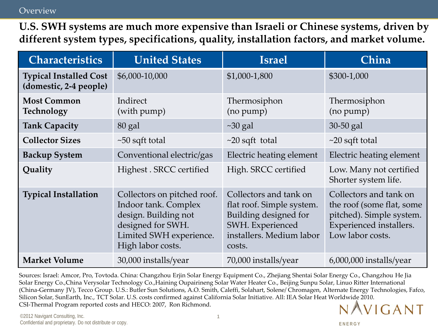**U.S. SWH systems are much more expensive than Israeli or Chinese systems, driven by different system types, specifications, quality, installation factors, and market volume.** 

| <b>Characteristics</b>                                  | <b>United States</b>                                                                                                                             | <b>Israel</b>                                                                                                                          | China                                                                                                                          |
|---------------------------------------------------------|--------------------------------------------------------------------------------------------------------------------------------------------------|----------------------------------------------------------------------------------------------------------------------------------------|--------------------------------------------------------------------------------------------------------------------------------|
| <b>Typical Installed Cost</b><br>(domestic, 2-4 people) | \$6,000-10,000                                                                                                                                   | \$1,000-1,800                                                                                                                          | \$300-1,000                                                                                                                    |
| <b>Most Common</b><br>Technology                        | Indirect<br>(with pump)                                                                                                                          | Thermosiphon<br>(no pump)                                                                                                              | Thermosiphon<br>(no pump)                                                                                                      |
| <b>Tank Capacity</b>                                    | $80$ gal                                                                                                                                         | $\sim$ 30 gal                                                                                                                          | $30-50$ gal                                                                                                                    |
| <b>Collector Sizes</b>                                  | $\sim$ 50 sqft total                                                                                                                             | $\sim$ 20 sqft total                                                                                                                   | $\sim$ 20 sqft total                                                                                                           |
| <b>Backup System</b>                                    | Conventional electric/gas                                                                                                                        | Electric heating element                                                                                                               | Electric heating element                                                                                                       |
| Quality                                                 | Highest . SRCC certified                                                                                                                         | High. SRCC certified                                                                                                                   | Low. Many not certified<br>Shorter system life.                                                                                |
| <b>Typical Installation</b>                             | Collectors on pitched roof.<br>Indoor tank. Complex<br>design. Building not<br>designed for SWH.<br>Limited SWH experience.<br>High labor costs. | Collectors and tank on<br>flat roof. Simple system.<br>Building designed for<br>SWH. Experienced<br>installers. Medium labor<br>costs. | Collectors and tank on<br>the roof (some flat, some<br>pitched). Simple system.<br>Experienced installers.<br>Low labor costs. |
| <b>Market Volume</b>                                    | 30,000 installs/year                                                                                                                             | 70,000 installs/year                                                                                                                   | $6,000,000$ installs/year                                                                                                      |

Sources: Israel: Amcor, Pro, Tovtoda. China: Changzhou Erjin Solar Energy Equipment Co., Zhejiang Shentai Solar Energy Co., Changzhou He Jia Solar Energy Co.,China Verysolar Technology Co.,Haining Oupairineng Solar Water Heater Co., Beijing Sunpu Solar, Linuo Ritter International (China-Germany JV), Tecco Group. U.S.: Butler Sun Solutions, A.O. Smith, Caleffi, Solahart, Solene/ Chromagen, Alternate Energy Technologies, Fafco, Silicon Solar, SunEarth, Inc., TCT Solar. U.S. costs confirmed against California Solar Initiative. All: IEA Solar Heat Worldwide 2010. CSI-Thermal Program reported costs and HECO: 2007, Ron Richmond.

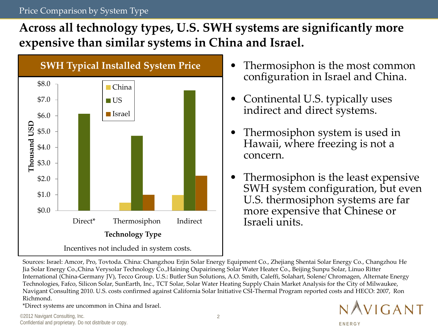### Price Comparison by System Type

# **Across all technology types, U.S. SWH systems are significantly more expensive than similar systems in China and Israel.**



- Thermosiphon is the most common configuration in Israel and China.
- Continental U.S. typically uses indirect and direct systems.
- Thermosiphon system is used in Hawaii, where freezing is not a concern.
- Thermosiphon is the least expensive SWH system configuration, but even U.S. thermosiphon systems are far more expensive that Chinese or Israeli units.

Sources: Israel: Amcor, Pro, Tovtoda. China: Changzhou Erjin Solar Energy Equipment Co., Zhejiang Shentai Solar Energy Co., Changzhou He Jia Solar Energy Co.,China Verysolar Technology Co.,Haining Oupairineng Solar Water Heater Co., Beijing Sunpu Solar, Linuo Ritter International (China-Germany JV), Tecco Group. U.S.: Butler Sun Solutions, A.O. Smith, Caleffi, Solahart, Solene/ Chromagen, Alternate Energy Technologies, Fafco, Silicon Solar, SunEarth, Inc., TCT Solar, Solar Water Heating Supply Chain Market Analysis for the City of Milwaukee, Navigant Consulting 2010. U.S. costs confirmed against California Solar Initiative CSI-Thermal Program reported costs and HECO: 2007, Ron Richmond.

\*Direct systems are uncommon in China and Israel.

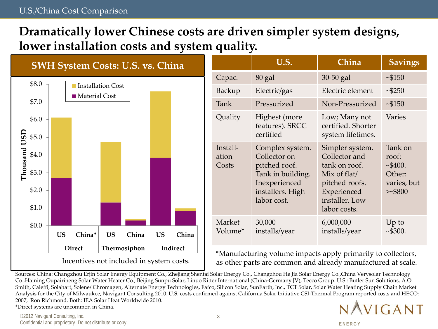#### U.S./China Cost Comparison

# **Dramatically lower Chinese costs are driven simpler system designs, lower installation costs and system quality.**



|                            | U.S.                                                                                                                      | China                                                                                                                                | <b>Savings</b>                                                       |
|----------------------------|---------------------------------------------------------------------------------------------------------------------------|--------------------------------------------------------------------------------------------------------------------------------------|----------------------------------------------------------------------|
| Capac.                     | $80$ gal                                                                                                                  | $30-50$ gal                                                                                                                          | ~5150                                                                |
| Backup                     | Electric/gas                                                                                                              | Electric element                                                                                                                     | ~5250                                                                |
| Tank                       | Pressurized                                                                                                               | Non-Pressurized                                                                                                                      | ~5150                                                                |
| Quality                    | Highest (more<br>features). SRCC<br>certified                                                                             | Low; Many not<br>certified. Shorter<br>system lifetimes.                                                                             | <b>Varies</b>                                                        |
| Install-<br>ation<br>Costs | Complex system.<br>Collector on<br>pitched roof.<br>Tank in building.<br>Inexperienced<br>installers. High<br>labor cost. | Simpler system.<br>Collector and<br>tank on roof.<br>Mix of flat/<br>pitched roofs.<br>Experienced<br>installer. Low<br>labor costs. | Tank on<br>roof:<br>~5400.<br>Other:<br>varies, but<br>$>$ $-$ \$800 |
| Market<br>Volume*          | 30,000<br>installs/year                                                                                                   | 6,000,000<br>installs/year                                                                                                           | Up to<br>~5300.                                                      |

\*Manufacturing volume impacts apply primarily to collectors, as other parts are common and already manufactured at scale.

Sources: China: Changzhou Erjin Solar Energy Equipment Co., Zhejiang Shentai Solar Energy Co., Changzhou He Jia Solar Energy Co.,China Verysolar Technology Co.,Haining Oupairineng Solar Water Heater Co., Beijing Sunpu Solar, Linuo Ritter International (China-Germany JV), Tecco Group. U.S.: Butler Sun Solutions, A.O. Smith, Caleffi, Solahart, Solene/ Chromagen, Alternate Energy Technologies, Fafco, Silicon Solar, SunEarth, Inc., TCT Solar, Solar Water Heating Supply Chain Market Analysis for the City of Milwaukee, Navigant Consulting 2010. U.S. costs confirmed against California Solar Initiative CSI-Thermal Program reported costs and HECO: 2007, Ron Richmond. Both: IEA Solar Heat Worldwide 2010. \*Direct systems are uncommon in China.



©2012 Navigant Consulting, Inc. 3 Confidential and proprietary. Do not distribute or copy. **ENERGY**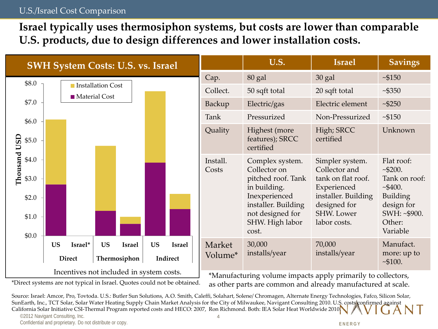### U.S./Israel Cost Comparison

**Israel typically uses thermosiphon systems, but costs are lower than comparable U.S. products, due to design differences and lower installation costs.**



\*Direct systems are not typical in Israel. Quotes could not be obtained.

as other parts are common and already manufactured at scale.

Source: Israel: Amcor, Pro, Tovtoda. U.S.: Butler Sun Solutions, A.O. Smith, Caleffi, Solahart, Solene/ Chromagen, Alternate Energy Technologies, Fafco, Silicon Solar, SunEarth, Inc., TCT Solar, Solar Water Heating Supply Chain Market Analysis for the City of Milwaukee, Navigant Consulting 2010. U.S. costs confirmed against California Solar Initiative CSI-Thermal Program reported costs and HECO: 2007, Ron Richmond. Both: IEA Solar Heat Worldwide 2010.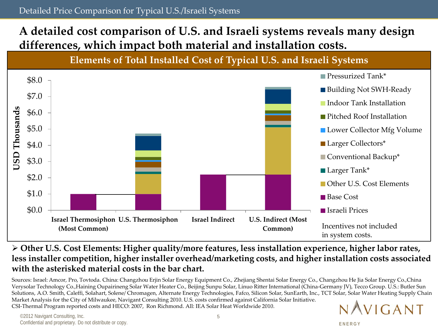### Detailed Price Comparison for Typical U.S./Israeli Systems

# **A detailed cost comparison of U.S. and Israeli systems reveals many design differences, which impact both material and installation costs.**



### **Other U.S. Cost Elements: Higher quality/more features, less installation experience, higher labor rates, less installer competition, higher installer overhead/marketing costs, and higher installation costs associated with the asterisked material costs in the bar chart.**

Sources: Israel: Amcor, Pro, Tovtoda. China: Changzhou Erjin Solar Energy Equipment Co., Zhejiang Shentai Solar Energy Co., Changzhou He Jia Solar Energy Co.,China Verysolar Technology Co.,Haining Oupairineng Solar Water Heater Co., Beijing Sunpu Solar, Linuo Ritter International (China-Germany JV), Tecco Group. U.S.: Butler Sun Solutions, A.O. Smith, Caleffi, Solahart, Solene/ Chromagen, Alternate Energy Technologies, Fafco, Silicon Solar, SunEarth, Inc., TCT Solar, Solar Water Heating Supply Chain Market Analysis for the City of Milwaukee, Navigant Consulting 2010. U.S. costs confirmed against California Solar Initiative.

NAVIGANT

CSI-Thermal Program reported costs and HECO: 2007, Ron Richmond. All: IEA Solar Heat Worldwide 2010.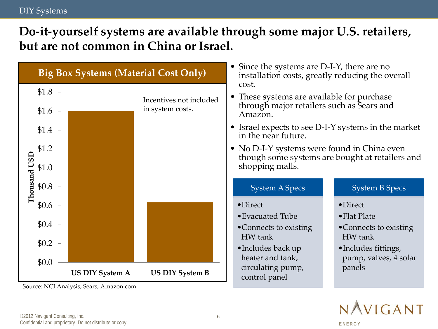### DIY Systems

# **Do-it-yourself systems are available through some major U.S. retailers, but are not common in China or Israel.**



NAVIGANT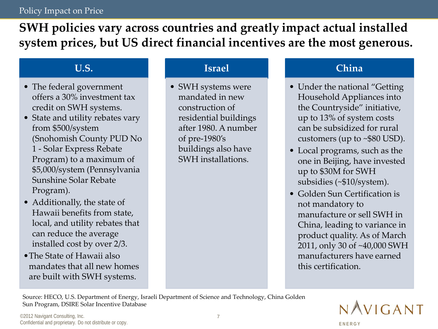### Policy Impact on Price

# **SWH policies vary across countries and greatly impact actual installed system prices, but US direct financial incentives are the most generous.**

## **U.S.**

- The federal government offers a 30% investment tax credit on SWH systems.
- State and utility rebates vary from \$500/system (Snohomish County PUD No 1 - Solar Express Rebate Program) to a maximum of \$5,000/system (Pennsylvania Sunshine Solar Rebate Program).
- Additionally, the state of Hawaii benefits from state, local, and utility rebates that can reduce the average installed cost by over 2/3.
- •The State of Hawaii also mandates that all new homes are built with SWH systems.

# **Israel**

• SWH systems were mandated in new construction of residential buildings after 1980. A number of pre-1980's buildings also have SWH installations.

## **China**

- Under the national "Getting" Household Appliances into the Countryside" initiative, up to 13% of system costs can be subsidized for rural customers (up to ~\$80 USD).
- Local programs, such as the one in Beijing, have invested up to \$30M for SWH subsidies (~\$10/system).
- Golden Sun Certification is not mandatory to manufacture or sell SWH in China, leading to variance in product quality. As of March 2011, only 30 of ~40,000 SWH manufacturers have earned this certification.

Source: HECO, U.S. Department of Energy, Israeli Department of Science and Technology, China Golden Sun Program, DSIRE Solar Incentive Database

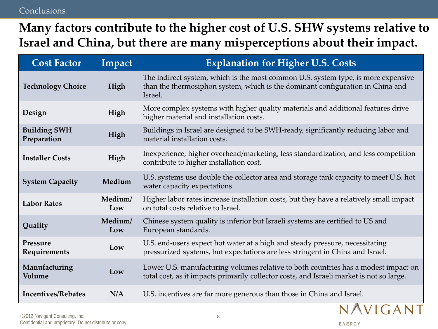# **Many factors contribute to the higher cost of U.S. SHW systems relative to Israel and China, but there are many misperceptions about their impact.**

| <b>Cost Factor</b>                 | Impact         | <b>Explanation for Higher U.S. Costs</b>                                                                                                                                       |
|------------------------------------|----------------|--------------------------------------------------------------------------------------------------------------------------------------------------------------------------------|
| <b>Technology Choice</b>           | High           | The indirect system, which is the most common U.S. system type, is more expensive<br>than the thermosiphon system, which is the dominant configuration in China and<br>Israel. |
| Design                             | High           | More complex systems with higher quality materials and additional features drive<br>higher material and installation costs.                                                    |
| <b>Building SWH</b><br>Preparation | High           | Buildings in Israel are designed to be SWH-ready, significantly reducing labor and<br>material installation costs.                                                             |
| <b>Installer Costs</b>             | High           | Inexperience, higher overhead/marketing, less standardization, and less competition<br>contribute to higher installation cost.                                                 |
| <b>System Capacity</b>             | Medium         | U.S. systems use double the collector area and storage tank capacity to meet U.S. hot<br>water capacity expectations                                                           |
| <b>Labor Rates</b>                 | Medium/<br>Low | Higher labor rates increase installation costs, but they have a relatively small impact<br>on total costs relative to Israel.                                                  |
| Quality                            | Medium/<br>Low | Chinese system quality is inferior but Israeli systems are certified to US and<br>European standards.                                                                          |
| Pressure<br>Requirements           | Low            | U.S. end-users expect hot water at a high and steady pressure, necessitating<br>pressurized systems, but expectations are less stringent in China and Israel.                  |
| Manufacturing<br>Volume            | Low            | Lower U.S. manufacturing volumes relative to both countries has a modest impact on<br>total cost, as it impacts primarily collector costs, and Israeli market is not so large. |
| <b>Incentives/Rebates</b>          | N/A            | U.S. incentives are far more generous than those in China and Israel.                                                                                                          |
|                                    |                |                                                                                                                                                                                |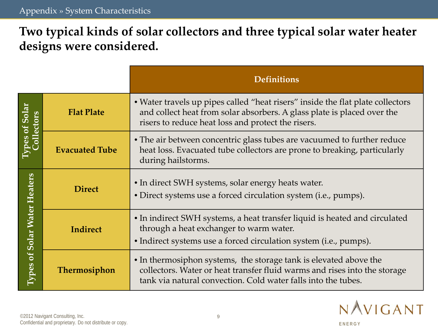# **Two typical kinds of solar collectors and three typical solar water heater designs were considered.**

|                                      |                       | <b>Definitions</b>                                                                                                                                                                                              |  |
|--------------------------------------|-----------------------|-----------------------------------------------------------------------------------------------------------------------------------------------------------------------------------------------------------------|--|
| ypes of Solar<br>Collectors          | <b>Flat Plate</b>     | • Water travels up pipes called "heat risers" inside the flat plate collectors<br>and collect heat from solar absorbers. A glass plate is placed over the<br>risers to reduce heat loss and protect the risers. |  |
|                                      | <b>Evacuated Tube</b> | • The air between concentric glass tubes are vacuumed to further reduce<br>heat loss. Evacuated tube collectors are prone to breaking, particularly<br>during hailstorms.                                       |  |
| <b>Solar Water Heaters</b><br>pes of | <b>Direct</b>         | • In direct SWH systems, solar energy heats water.<br>• Direct systems use a forced circulation system (i.e., pumps).                                                                                           |  |
|                                      | Indirect              | • In indirect SWH systems, a heat transfer liquid is heated and circulated<br>through a heat exchanger to warm water.<br>• Indirect systems use a forced circulation system (i.e., pumps).                      |  |
|                                      | Thermosiphon          | • In thermosiphon systems, the storage tank is elevated above the<br>collectors. Water or heat transfer fluid warms and rises into the storage<br>tank via natural convection. Cold water falls into the tubes. |  |

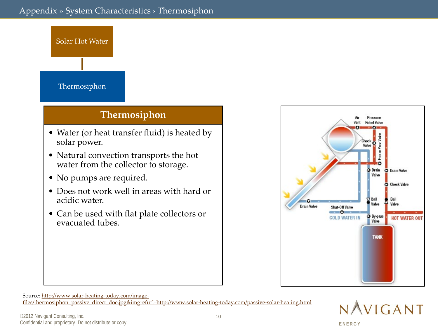### Appendix » System Characteristics › Thermosiphon



## **Thermosiphon**

- Water (or heat transfer fluid) is heated by solar power.
- Natural convection transports the hot water from the collector to storage.
- No pumps are required.
- Does not work well in areas with hard or acidic water.
- Can be used with flat plate collectors or evacuated tubes.



Source: [http://www.solar-heating-today.com/image](http://www.solar-heating-today.com/image-files/thermosiphon_passive_direct_doe.jpg&imgrefurl=http:/www.solar-heating-today.com/passive-solar-heating.html)[files/thermosiphon\\_passive\\_direct\\_doe.jpg&imgrefurl=http://www.solar-heating-today.com/passive-solar-heating.html](http://www.solar-heating-today.com/image-files/thermosiphon_passive_direct_doe.jpg&imgrefurl=http:/www.solar-heating-today.com/passive-solar-heating.html)

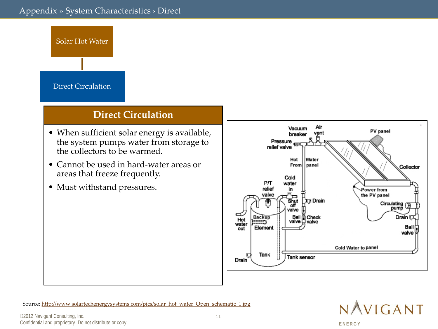#### Appendix » System Characteristics › Direct





Source: [http://www.solartechenergysystems.com/pics/solar\\_hot\\_water\\_Open\\_schematic\\_1.jpg](http://www.solartechenergysystems.com/pics/solar_hot_water_Open_schematic_1.jpg)